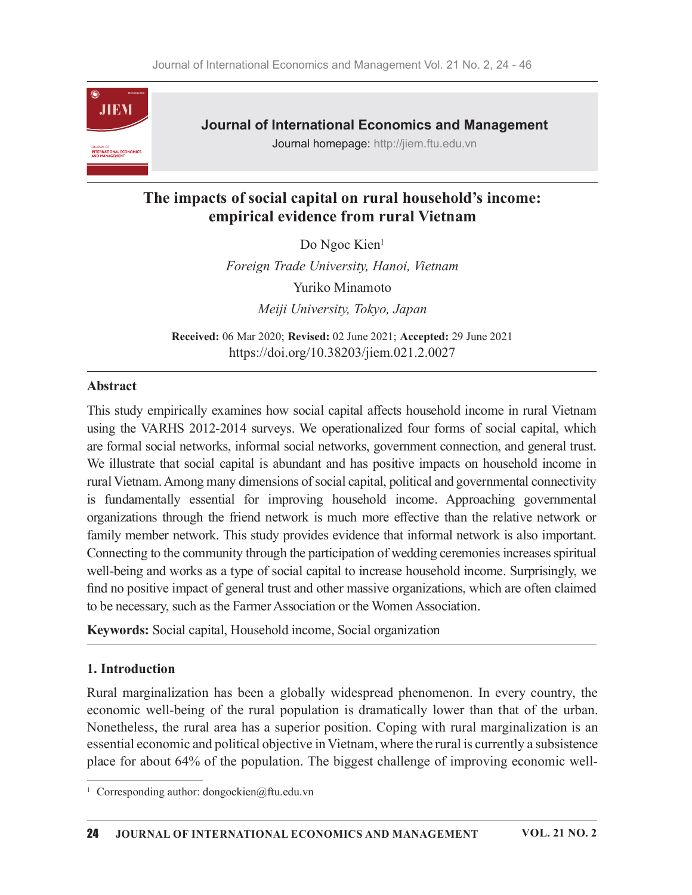

Journal of International Economics and Management

Journal homepage: http://jiem.ftu.edu.vn

# The impacts of social capital on rural household's income: empirical evidence from rural Vietnam

Do Ngoc Kien<sup>1</sup>

Foreign Trade University, Hanoi, Vietnam Yuriko Minamoto Meiji University, Tokyo, Japan

Received: 06 Mar 2020; Revised: 02 June 2021; Accepted: 29 June 2021 https://doi.org/10.38203/jiem.021.2.0027

## Abstract

This study empirically examines how social capital a൵ects household income in rural Vietnam using the VARHS 2012-2014 surveys. We operationalized four forms of social capital, which are formal social networks, informal social networks, government connection, and general trust. We illustrate that social capital is abundant and has positive impacts on household income in rural Vietnam. Among many dimensions of social capital, political and governmental connectivity is fundamentally essential for improving household income. Approaching governmental organizations through the friend network is much more effective than the relative network or family member network. This study provides evidence that informal network is also important. Connecting to the community through the participation of wedding ceremonies increases spiritual well-being and works as a type of social capital to increase household income. Surprisingly, we find no positive impact of general trust and other massive organizations, which are often claimed to be necessary, such as the Farmer Association or the Women Association.

Keywords: Social capital, Household income, Social organization

# 1. Introduction

Rural marginalization has been a globally widespread phenomenon. In every country, the economic well-being of the rural population is dramatically lower than that of the urban. Nonetheless, the rural area has a superior position. Coping with rural marginalization is an essential economic and political objective in Vietnam, where the rural is currently a subsistence place for about 64% of the population. The biggest challenge of improving economic well-

<sup>&</sup>lt;sup>1</sup> Corresponding author: dongockien@ftu.edu.vn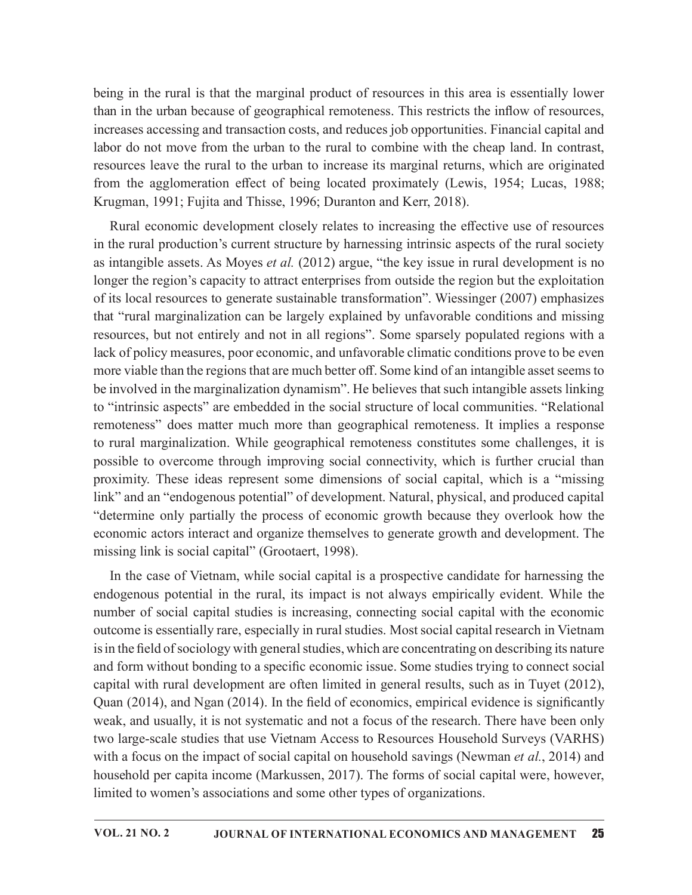being in the rural is that the marginal product of resources in this area is essentially lower than in the urban because of geographical remoteness. This restricts the inflow of resources, increases accessing and transaction costs, and reduces job opportunities. Financial capital and labor do not move from the urban to the rural to combine with the cheap land. In contrast, resources leave the rural to the urban to increase its marginal returns, which are originated from the agglomeration effect of being located proximately (Lewis, 1954; Lucas, 1988; Krugman, 1991; Fujita and Thisse, 1996; Duranton and Kerr, 2018).

Rural economic development closely relates to increasing the effective use of resources in the rural production's current structure by harnessing intrinsic aspects of the rural society as intangible assets. As Moyes *et al.* (2012) argue, "the key issue in rural development is no longer the region's capacity to attract enterprises from outside the region but the exploitation of its local resources to generate sustainable transformation". Wiessinger (2007) emphasizes that "rural marginalization can be largely explained by unfavorable conditions and missing resources, but not entirely and not in all regions". Some sparsely populated regions with a lack of policy measures, poor economic, and unfavorable climatic conditions prove to be even more viable than the regions that are much better off. Some kind of an intangible asset seems to be involved in the marginalization dynamism". He believes that such intangible assets linking to "intrinsic aspects" are embedded in the social structure of local communities. "Relational remoteness" does matter much more than geographical remoteness. It implies a response to rural marginalization. While geographical remoteness constitutes some challenges, it is possible to overcome through improving social connectivity, which is further crucial than proximity. These ideas represent some dimensions of social capital, which is a "missing link" and an "endogenous potential" of development. Natural, physical, and produced capital "determine only partially the process of economic growth because they overlook how the economic actors interact and organize themselves to generate growth and development. The missing link is social capital" (Grootaert, 1998).

In the case of Vietnam, while social capital is a prospective candidate for harnessing the endogenous potential in the rural, its impact is not always empirically evident. While the number of social capital studies is increasing, connecting social capital with the economic outcome is essentially rare, especially in rural studies. Most social capital research in Vietnam is in the field of sociology with general studies, which are concentrating on describing its nature and form without bonding to a specific economic issue. Some studies trying to connect social capital with rural development are often limited in general results, such as in Tuyet (2012), Quan  $(2014)$ , and Ngan  $(2014)$ . In the field of economics, empirical evidence is significantly weak, and usually, it is not systematic and not a focus of the research. There have been only two large-scale studies that use Vietnam Access to Resources Household Surveys (VARHS) with a focus on the impact of social capital on household savings (Newman *et al.*, 2014) and household per capita income (Markussen, 2017). The forms of social capital were, however, limited to women's associations and some other types of organizations.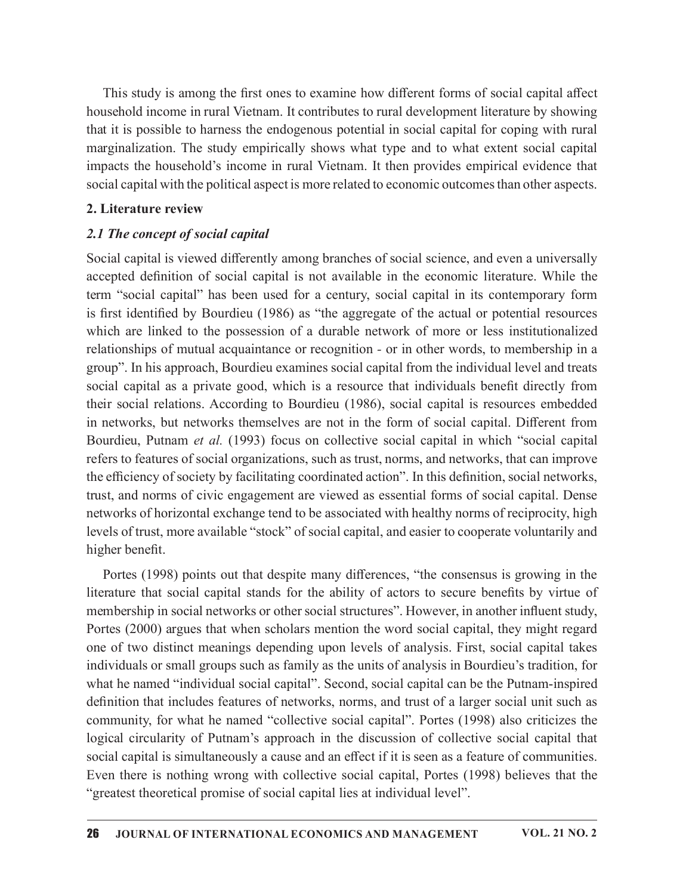This study is among the first ones to examine how different forms of social capital affect household income in rural Vietnam. It contributes to rural development literature by showing that it is possible to harness the endogenous potential in social capital for coping with rural marginalization. The study empirically showswhat type and to what extent social capital impacts the household's income in rural Vietnam. It then provides empirical evidence that social capital with the political aspect is more related to economic outcomes than other aspects.

### 2. Literature review

## 2.1 The concept of social capital

Social capital is viewed differently among branches of social science, and even a universally accepted definition of social capital is not available in the economic literature. While the term "social capital" has been used for a century, social capital in its contemporary form is first identified by Bourdieu (1986) as "the aggregate of the actual or potential resources which are linked to the possession of a durable network of more or less institutionalized relationships of mutual acquaintance or recognition - or in other words, to membership in a group". In his approach, Bourdieu examines social capital from the individual level and treats social capital as a private good, which is a resource that individuals benefit directly from their social relations. According to Bourdieu (1986), social capital is resources embedded in networks, but networks themselves are not in the form of social capital. Different from Bourdieu, Putnam et al. (1993) focus on collective social capital in which "social capital refers to features of social organizations, such as trust, norms, and networks, that can improve the efficiency of society by facilitating coordinated action". In this definition, social networks, trust, and norms of civic engagement are viewed as essential forms of social capital. Dense networks of horizontal exchange tend to be associated with healthy norms of reciprocity, high levels of trust, more available "stock" of social capital, and easier to cooperate voluntarily and higher benefit.

Portes (1998) points out that despite many differences, "the consensus is growing in the literature that social capital stands for the ability of actors to secure benefits by virtue of membership in social networks or other social structures". However, in another influent study, Portes (2000) argues that when scholars mention the word social capital, they might regard one of two distinct meanings depending upon levels of analysis. First, social capital takes individuals or small groups such as family as the units of analysis in Bourdieu's tradition, for what he named "individual social capital". Second, social capital can be the Putnam-inspired definition that includes features of networks, norms, and trust of a larger social unit such as community, for what he named "collective social capital". Portes (1998) also criticizes the logical circularity of Putnam's approach in the discussion of collective social capital that social capital is simultaneously a cause and an effect if it is seen as a feature of communities. Even there is nothing wrong with collective social capital, Portes (1998) believes that the "greatest theoretical promise of social capital lies at individual level".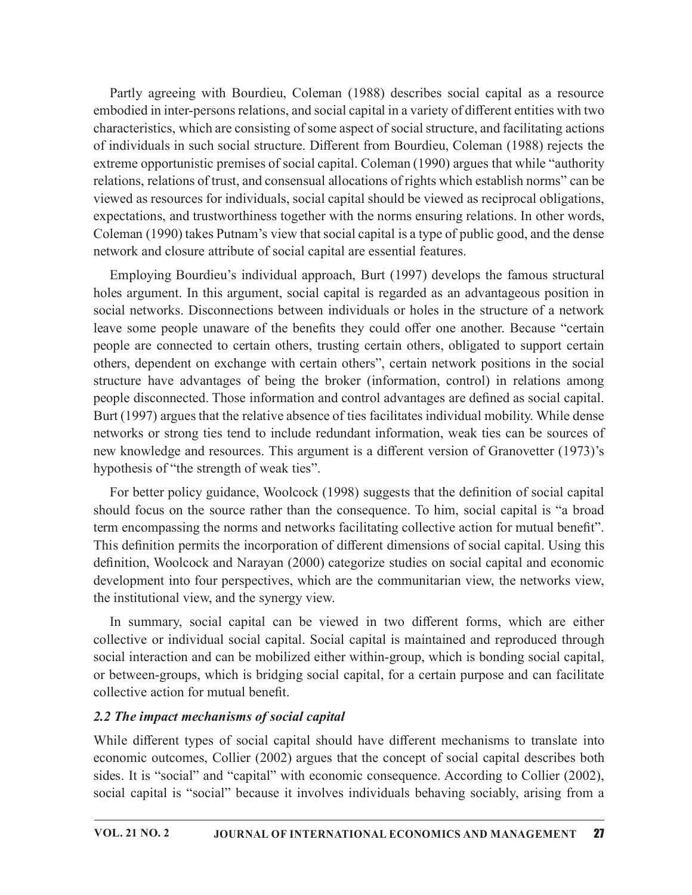Partly agreeing with Bourdieu, Coleman (1988) describes social capital as a resource embodied in inter-persons relations, and social capital in a variety of different entities with two characteristics, which are consisting of some aspect of social structure, and facilitating actions of individuals in such social structure. Different from Bourdieu, Coleman (1988) rejects the extreme opportunistic premises of social capital. Coleman (1990) argues that while "authority relations, relations of trust, and consensual allocations of rights which establish norms" can be viewed as resources for individuals, social capital should be viewed as reciprocal obligations, expectations, and trustworthiness together with the norms ensuring relations. In other words, Coleman (1990) takes Putnam's view that social capital is a type of public good, and the dense network and closure attribute of social capital are essential features.

Employing Bourdieu's individual approach, Burt (1997) develops the famous structural holes argument. In this argument, social capital is regarded as an advantageous position in social networks. Disconnections between individuals or holes in the structure of a network leave some people unaware of the benefits they could offer one another. Because "certain people are connected to certain others, trusting certain others, obligated to support certain others, dependent on exchange with certain others", certain network positions in the social structure have advantages of being the broker (information, control) in relations among people disconnected. Those information and control advantages are defined as social capital. Burt (1997) argues that the relative absence of ties facilitates individual mobility. While dense networks or strong ties tend to include redundant information, weak ties can be sources of new knowledge and resources. This argument is a different version of Granovetter (1973)'s hypothesis of "the strength of weak ties".

For better policy guidance, Woolcock (1998) suggests that the definition of social capital should focus on the source rather than the consequence. To him, social capital is "a broad term encompassing the norms and networks facilitating collective action for mutual benefit". This definition permits the incorporation of different dimensions of social capital. Using this definition, Woolcock and Narayan (2000) categorize studies on social capital and economic development into four perspectives, which are the communitarian view, the networks view, the institutional view, and the synergy view.

In summary, social capital can be viewed in two different forms, which are either collective or individual social capital. Social capital is maintained and reproduced through social interaction and can be mobilized either within-group, which is bonding social capital, or between-groups, which is bridging social capital, for a certain purpose and can facilitate collective action for mutual benefit.

## 2.2 The impact mechanisms of social capital

While different types of social capital should have different mechanisms to translate into economic outcomes, Collier (2002) argues that the concept of social capital describes both sides. It is "social" and "capital" with economic consequence. According to Collier (2002), social capital is "social" because it involves individuals behaving sociably, arising from a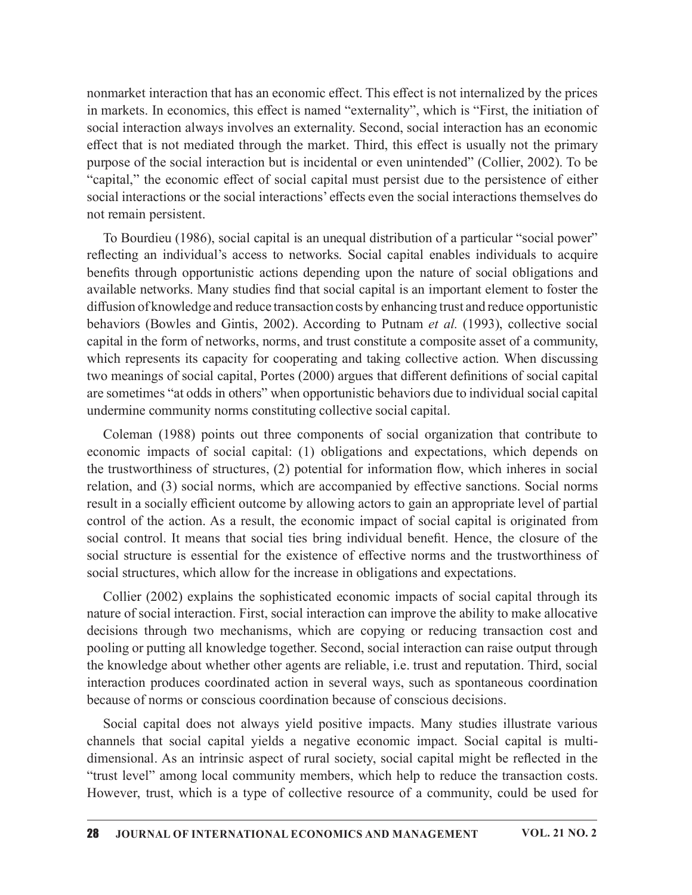nonmarket interaction that has an economic effect. This effect is not internalized by the prices in markets. In economics, this effect is named "externality", which is "First, the initiation of social interaction always involves an externality. Second, social interaction has an economic effect that is not mediated through the market. Third, this effect is usually not the primary purpose of the social interaction but is incidental or even unintended" (Collier, 2002). To be "capital," the economic effect of social capital must persist due to the persistence of either social interactions or the social interactions' effects even the social interactions themselves do not remain persistent.

To Bourdieu (1986), social capital is an unequal distribution of a particular "social power" reflecting an individual's access to networks. Social capital enables individuals to acquire benefits through opportunistic actions depending upon the nature of social obligations and available networks. Many studies find that social capital is an important element to foster the diffusion of knowledge and reduce transaction costs by enhancing trust and reduce opportunistic behaviors (Bowles and Gintis, 2002). According to Putnam et al. (1993), collective social capital in the form of networks, norms, and trust constitute a composite asset of a community, which represents its capacity for cooperating and taking collective action. When discussing two meanings of social capital, Portes (2000) argues that different definitions of social capital are sometimes "at odds in others" when opportunistic behaviors due to individual social capital undermine community norms constituting collective social capital.

Coleman (1988) points out three components of social organization that contribute to economic impacts of social capital: (1) obligations and expectations, which depends on the trustworthiness of structures,  $(2)$  potential for information flow, which inheres in social relation, and (3) social norms, which are accompanied by effective sanctions. Social norms result in a socially efficient outcome by allowing actors to gain an appropriate level of partial control of the action. As a result, the economic impact of social capital is originated from social control. It means that social ties bring individual benefit. Hence, the closure of the social structure is essential for the existence of effective norms and the trustworthiness of social structures, which allow for the increase in obligations and expectations.

Collier (2002) explains the sophisticated economic impacts of social capital through its nature of social interaction. First, social interaction can improve the ability to make allocative decisions through two mechanisms, which are copying or reducing transaction cost and pooling or putting all knowledge together. Second, social interaction can raise output through the knowledge about whether other agents are reliable, i.e. trust and reputation. Third, social interaction produces coordinated action in several ways, such as spontaneous coordination because of norms or conscious coordination because of conscious decisions.

Social capital does not always yield positive impacts. Many studies illustrate various channels that social capital yields a negative economic impact. Social capital is multidimensional. As an intrinsic aspect of rural society, social capital might be reflected in the "trust level" among local community members, which help to reduce the transaction costs. However, trust, which is a type of collective resource of a community, could be used for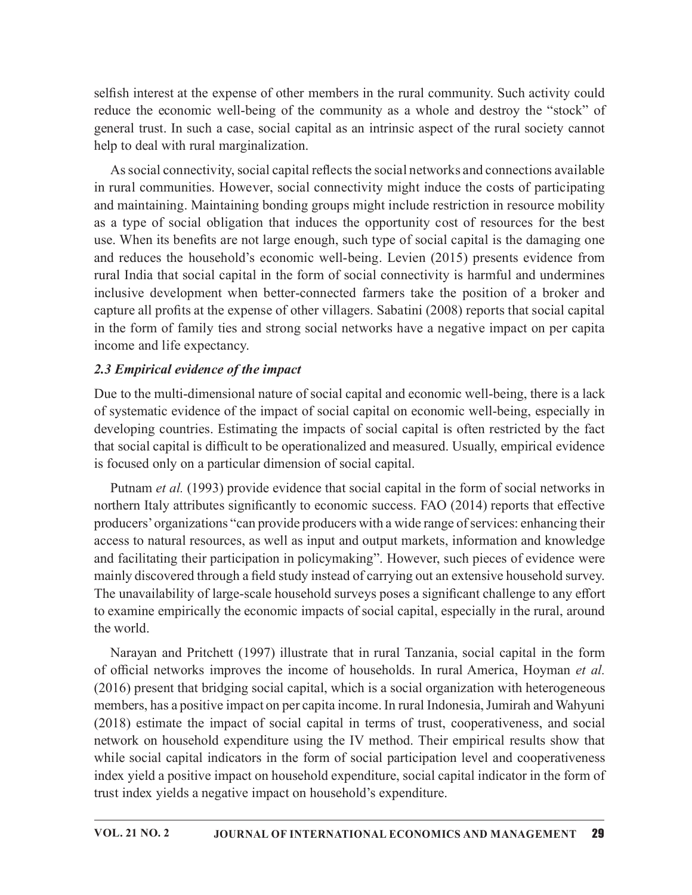selfish interest at the expense of other members in the rural community. Such activity could reduce the economic well-being of the community as a whole and destroy the "stock" of general trust. In such a case, social capital as an intrinsic aspect of the rural society cannot help to deal with rural marginalization.

As social connectivity, social capital reflects the social networks and connections available in rural communities. However, social connectivity might induce the costs of participating and maintaining. Maintaining bonding groups might include restriction in resource mobility as a type of social obligation that induces the opportunity cost of resources for the best use. When its benefits are not large enough, such type of social capital is the damaging one and reduces the household's economic well-being. Levien (2015) presents evidence from rural India that social capital in the form of social connectivity is harmful and undermines inclusive development when better-connected farmers take the position of a broker and capture all profits at the expense of other villagers. Sabatini (2008) reports that social capital in the form of family ties and strong social networks have a negative impact on per capita income and life expectancy.

## 2.3 Empirical evidence of the impact

Due to the multi-dimensional nature of social capital and economic well-being, there is a lack of systematic evidence of the impact of social capital on economic well-being, especially in developing countries. Estimating the impacts of social capital is often restricted by the fact that social capital is difficult to be operationalized and measured. Usually, empirical evidence is focused only on a particular dimension of social capital.

Putnam *et al.* (1993) provide evidence that social capital in the form of social networks in northern Italy attributes significantly to economic success. FAO (2014) reports that effective producers' organizations "can provide producers with a wide range of services: enhancing their access to natural resources, as well as input and output markets, information and knowledge and facilitating their participation in policymaking". However, such pieces of evidence were mainly discovered through a field study instead of carrying out an extensive household survey. The unavailability of large-scale household surveys poses a significant challenge to any effort to examine empirically the economic impacts of social capital, especially in the rural, around the world.

Narayan and Pritchett (1997) illustrate that in rural Tanzania, social capital in the form of official networks improves the income of households. In rural America, Hoyman et al. (2016) present that bridging social capital, which is a social organization with heterogeneous members, has a positive impact on per capita income. In rural Indonesia, Jumirah and Wahyuni (2018) estimate the impact of social capital in terms of trust, cooperativeness, and social network on household expenditure using the IV method.Their empirical results show that while social capital indicators in the form of social participation level and cooperativeness index yield a positive impact on household expenditure, social capital indicator in the form of trust index yields a negative impact on household's expenditure.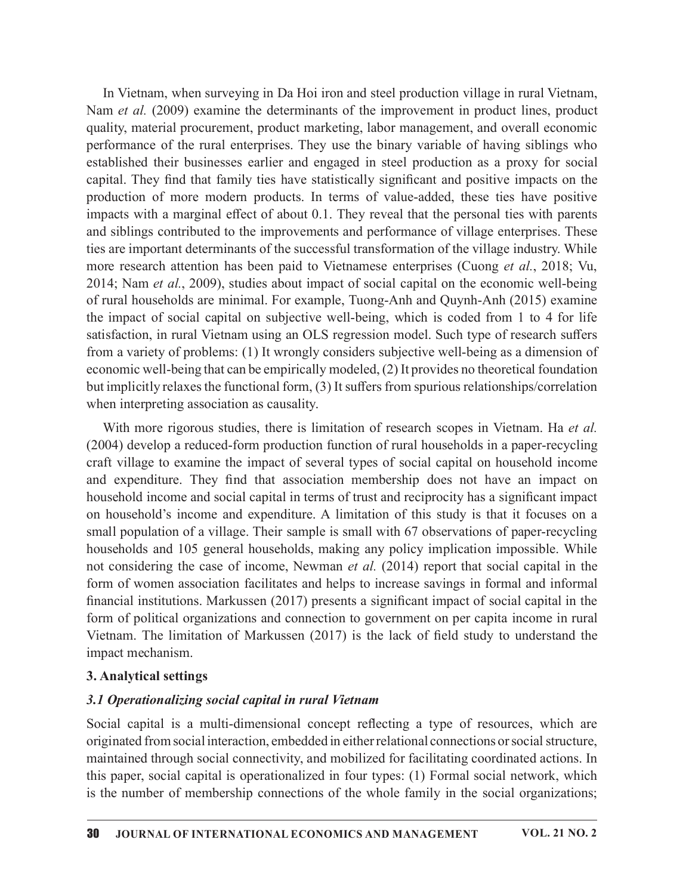In Vietnam, when surveying in Da Hoi iron and steel production village in rural Vietnam, Nam *et al.* (2009) examine the determinants of the improvement in product lines, product quality, material procurement, product marketing, labor management, and overall economic performance of the rural enterprises. They use the binary variable of having siblings who established their businesses earlier and engaged in steel production as a proxy for social capital. They find that family ties have statistically significant and positive impacts on the production of more modern products. In terms of value-added, these ties have positive impacts with a marginal effect of about 0.1. They reveal that the personal ties with parents and siblings contributed to the improvements and performance of village enterprises. These ties are important determinants of the successful transformation of the village industry. While more research attention has been paid to Vietnamese enterprises (Cuong et al., 2018; Vu, 2014; Nam et al., 2009), studies about impact of social capital on the economic well-being of rural households are minimal. For example, Tuong-Anh and Quynh-Anh (2015) examine the impact of social capital on subjective well-being, which is coded from 1 to 4 for life satisfaction, in rural Vietnam using an OLS regression model. Such type of research suffers from a variety of problems: (1) It wrongly considers subjective well-being as a dimension of economic well-being that can be empirically modeled, (2) It provides no theoretical foundation but implicitly relaxes the functional form, (3) It suffers from spurious relationships/correlation when interpreting association as causality. procedure of more incoreal procedures. It emiss of ware accustor, these are more increases in the marginal effect of about 0.1. They reveal that the personal ties with parents and siblings contributed to the improvements

With more rigorous studies, there is limitation of research scopes in Vietnam. Ha et al. (2004) develop a reduced-form production function of rural households in a paper-recycling craft village to examine the impact of several types of social capital on household income household income and social capital in terms of trust and reciprocity has a significant impact on household's income and expenditure. A limitation of this study is that it focuses on a small population of a village. Their sample is small with 67 observations of paper-recycling households and 105 general households, making any policy implication impossible. While not considering the case of income, Newman *et al.* (2014) report that social capital in the form of women association facilitates and helps to increase savings in formal and informal financial institutions. Markussen  $(2017)$  presents a significant impact of social capital in the form of political organizations and connection to government on per capita income in rural IOM a Vietnam. The limitation state of the limitation state and the limitation of control and the limitation but implicitly relaxes to the<br>commic well-being that can be empirically modeled, (2) It provides no theoretical impact mechanism.

### 3. Analytical settings

### 3.1 Operationalizing social capital in rural Vietnam

Social capital is a multi-dimensional concept reflecting a type of resources, which are originated from social interaction, embedded in either relational connections or social structure, maintained through social connectivity, and mobilized for facilitating coordinated actions. In this paper, social capital is operationalized in four types: (1) Formal social network, which is the number of membership connections of the whole family in the social organizations;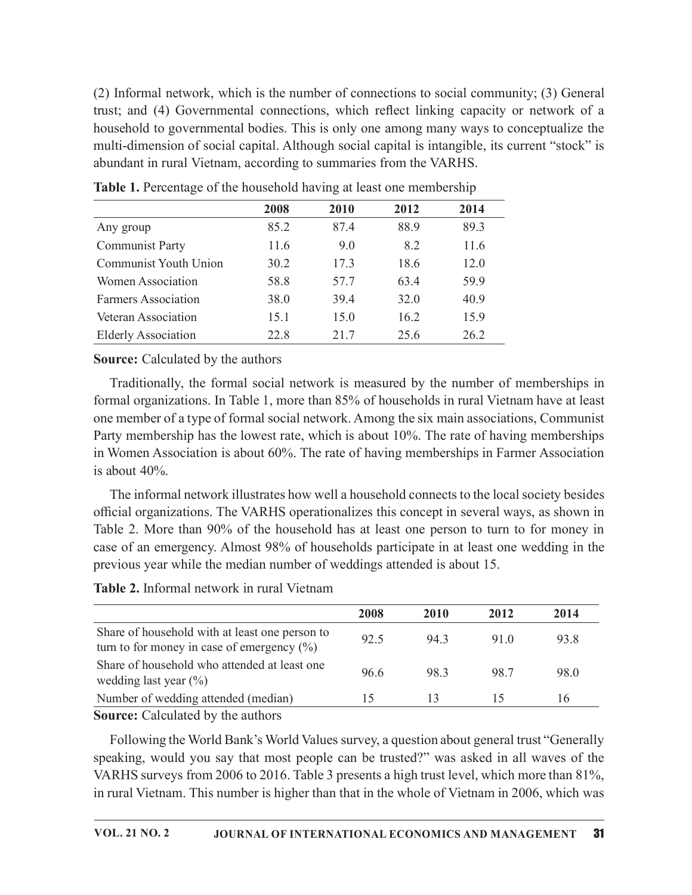| (2) Informal network, which is the number of connections to social community; (3) General        |      |      |      |      |
|--------------------------------------------------------------------------------------------------|------|------|------|------|
|                                                                                                  |      |      |      |      |
|                                                                                                  |      |      |      |      |
|                                                                                                  |      |      |      |      |
| trust; and (4) Governmental connections, which reflect linking capacity or network of a          |      |      |      |      |
| household to governmental bodies. This is only one among many ways to conceptualize the          |      |      |      |      |
| multi-dimension of social capital. Although social capital is intangible, its current "stock" is |      |      |      |      |
| abundant in rural Vietnam, according to summaries from the VARHS.                                |      |      |      |      |
| Table 1. Percentage of the household having at least one membership                              |      |      |      |      |
|                                                                                                  |      |      |      |      |
|                                                                                                  | 2008 | 2010 | 2012 | 2014 |
| Any group                                                                                        | 85.2 | 87.4 | 88.9 | 89.3 |
| <b>Communist Party</b>                                                                           | 11.6 | 9.0  | 8.2  | 11.6 |
| <b>Communist Youth Union</b>                                                                     | 30.2 | 17.3 | 18.6 | 12.0 |
| Women Association                                                                                | 58.8 | 57.7 | 63.4 | 59.9 |
| <b>Farmers Association</b>                                                                       | 38.0 | 39.4 | 32.0 | 40.9 |
| Veteran Association                                                                              | 15.1 | 15.0 | 16.2 | 15.9 |
| <b>Elderly Association</b>                                                                       | 22.8 | 21.7 | 25.6 | 26.2 |
| <b>Source:</b> Calculated by the authors                                                         |      |      |      |      |

## Source: Calculated by the authors

Traditionally, the formal social network is measured by the number of memberships in formal organizations. In Table 1, more than 85% of households in rural Vietnam have at least one member of a type of formal social network. Among thesix main associations, Communist Party membership has the lowest rate, which is about 10%. The rate of having memberships in Women Association is about 60%. The rate of having memberships in Farmer Association is about 40%. 20.0 20.2<br>
measured by the number of memberships in<br>
of households in rural Vietnam have at least<br>
Among the six main associations, Communist<br>
about 10%. The rate of having memberships<br>
f having memberships in Farmer Asso

Table 2. Informal network in rural Vietnam

| <b>Source:</b> Calculated by the authors                                                                                                                                                                                                                                                                                                                                                                                                                                                      |      |      |      |      |  |
|-----------------------------------------------------------------------------------------------------------------------------------------------------------------------------------------------------------------------------------------------------------------------------------------------------------------------------------------------------------------------------------------------------------------------------------------------------------------------------------------------|------|------|------|------|--|
| Traditionally, the formal social network is measured by the number of memberships in<br>formal organizations. In Table 1, more than 85% of households in rural Vietnam have at least<br>one member of a type of formal social network. Among the six main associations, Communist<br>Party membership has the lowest rate, which is about 10%. The rate of having memberships<br>in Women Association is about 60%. The rate of having memberships in Farmer Association<br>is about $40\%$ . |      |      |      |      |  |
| The informal network illustrates how well a household connects to the local society besides<br>official organizations. The VARHS operationalizes this concept in several ways, as shown in<br>Table 2. More than 90% of the household has at least one person to turn to for money in<br>case of an emergency. Almost 98% of households participate in at least one wedding in the<br>previous year while the median number of weddings attended is about 15.                                 |      |      |      |      |  |
| Table 2. Informal network in rural Vietnam                                                                                                                                                                                                                                                                                                                                                                                                                                                    |      |      |      |      |  |
|                                                                                                                                                                                                                                                                                                                                                                                                                                                                                               | 2008 | 2010 | 2012 | 2014 |  |
| Share of household with at least one person to<br>turn to for money in case of emergency $(\%)$                                                                                                                                                                                                                                                                                                                                                                                               | 92.5 | 94.3 | 91.0 | 93.8 |  |
| Share of household who attended at least one<br>wedding last year $(\%)$                                                                                                                                                                                                                                                                                                                                                                                                                      | 96.6 | 98.3 | 98.7 | 98.0 |  |
| Number of wedding attended (median)                                                                                                                                                                                                                                                                                                                                                                                                                                                           | 15   | 13   | 15   | 16   |  |
| Source: Calculated by the authors<br>Following the World Bank's World Values survey, a question about general trust "Generally<br>speaking, would you say that most people can be trusted?" was asked in all waves of the                                                                                                                                                                                                                                                                     |      |      |      |      |  |
| VARHS surveys from 2006 to 2016. Table 3 presents a high trust level, which more than 81%,                                                                                                                                                                                                                                                                                                                                                                                                    |      |      |      |      |  |

Following the World Bank's World Values survey, a question about general trust "Generally speaking, would you say that most people can be trusted?" was asked in all waves of the VARHS surveys from 2006 to 2016. Table 3 presents a high trust level, which more than 81%, in rural Vietnam. This number is higher than that in the whole of Vietnam in 2006, which was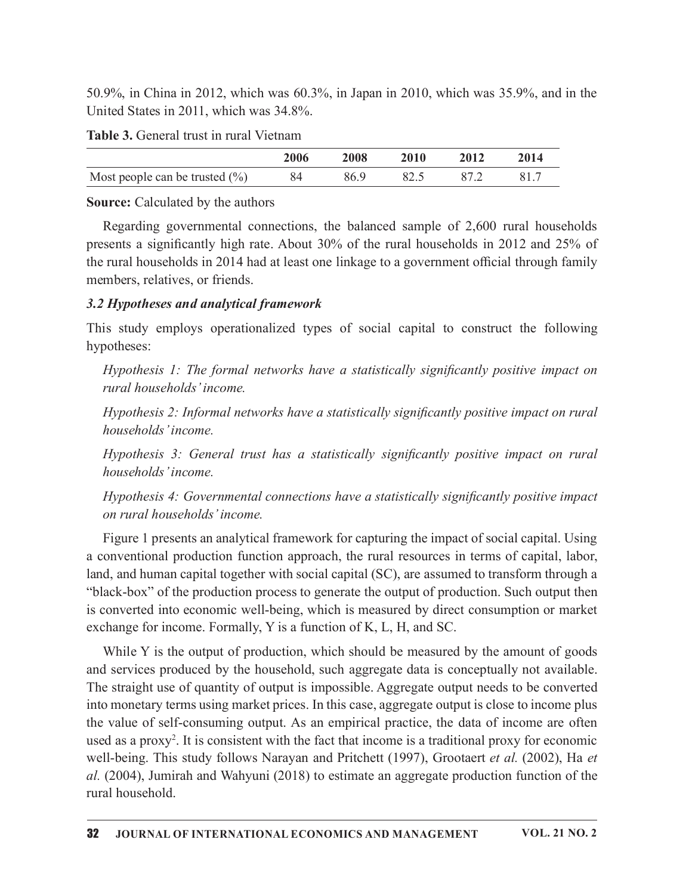| Table 3. General trust in rural Vietnam |  |
|-----------------------------------------|--|
|-----------------------------------------|--|

| 50.9%, in China in 2012, which was 60.3%, in Japan in 2010, which was 35.9%, and in the<br>United States in 2011, which was 34.8%. |      |      |      |      |      |
|------------------------------------------------------------------------------------------------------------------------------------|------|------|------|------|------|
| Table 3. General trust in rural Vietnam                                                                                            |      |      |      |      |      |
|                                                                                                                                    | 2006 | 2008 | 2010 | 2012 | 2014 |
| Most people can be trusted $(\% )$                                                                                                 | 84   | 86.9 | 82.5 | 87.2 | 81.7 |
| <b>Source:</b> Calculated by the authors                                                                                           |      |      |      |      |      |

### Source: Calculated by the authors

50.9%, in China in 2012, which was 60.3%, in Japan in 2010, which was 35.9%, and in the Jnited States in 2011, which was 34.8%.<br> **Table 3.** General trust in rural Vietnam<br>
2006 2008 2010 2012 2014<br>
Most people can be trus Regarding governmental connections, the balanced sample of 2,600 rural households presents a significantly high rate. About 30% of the rural households in 2012 and 25% of the rural households in 2014 had at least one linkage to a government official through family members, relatives, or friends.

## 3.2 Hypotheses and analytical framework

This study employs operationalized types of social capital to construct the following hypotheses:

Hypothesis 1: The formal networks have a statistically significantly positive impact on rural households' income.

Hypothesis 2: Informal networks have a statistically significantly positive impact on rural households' income.

Hypothesis  $3$ : General trust has a statistically significantly positive impact on rural households' income.

Hypothesis 4: Governmental connections have a statistically significantly positive impact on rural households' income.

Figure 1 presents an analytical framework for capturing the impact of social capital. Using a conventional production function approach, the rural resources in terms of capital, labor, land, and human capital together with social capital (SC), are assumed to transform through a "black-box" of the production process to generate the output of production. Such output then is converted into economic well-being, which is measured by direct consumption or market exchange for income. Formally, Y is a function of K, L, H, and SC.

While Y is the output of production, which should be measured by the amount of goods and services produced by the household, such aggregate data is conceptually not available. The straight use of quantity of output is impossible. Aggregate output needs to be converted into monetary terms using market prices. In this case, aggregate output is close to income plus the value of self-consuming output. As an empirical practice, the data of income are often used as a proxy<sup>2</sup>. It is consistent with the fact that income is a traditional proxy for economic well-being. This study follows Narayan and Pritchett (1997), Grootaert et al. (2002), Ha et al. (2004), Jumirah and Wahyuni (2018) to estimate an aggregate production function of the rural household.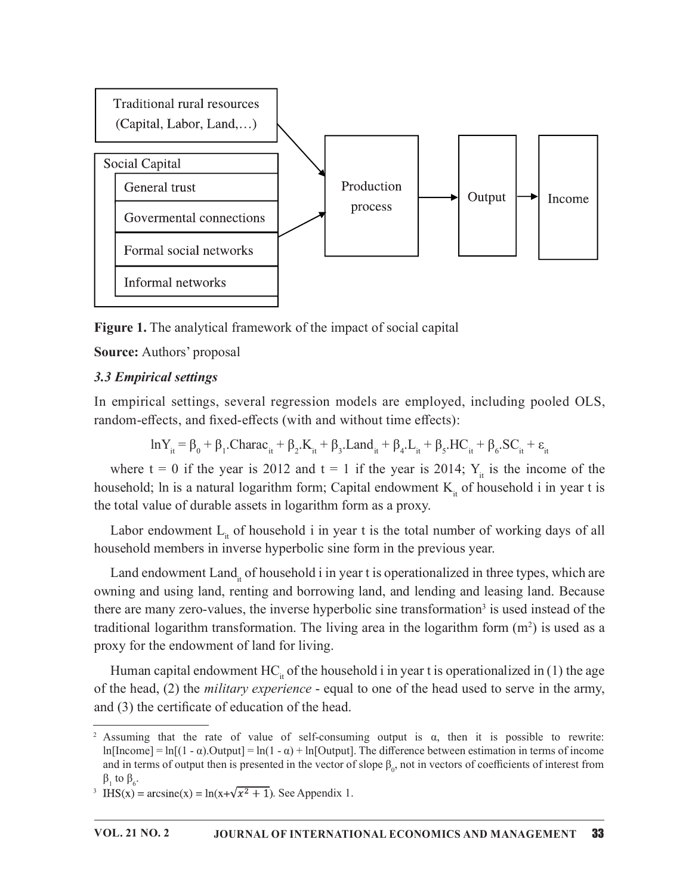

Figure 1. The analytical framework of the impact of social capital

Source: Authors' proposal

## 3.3 Empirical settings

In empirical settings, several regression models are employed, including pooled OLS, random-effects, and fixed-effects (with and without time effects):

> $\ln Y_{it} = \beta_0 + \beta_1$ .Charac<sub>it</sub> +  $\beta_2$ .K<sub>it</sub> +  $\beta_3$ .Land<sub>it</sub> +  $\beta_4$ .L<sub>it</sub> +  $\beta_5$ .HC<sub>it</sub> +  $\beta_6$ .SC<sub>it</sub> +  $\epsilon_{it}$ it

where  $t = 0$  if the year is 2012 and  $t = 1$  if the year is 2014;  $Y_{it}$  is the income of the household; ln is a natural logarithm form; Capital endowment  $K_{i}$  of household i in year t is the total value of durable assets in logarithm form as a proxy.

Labor endowment  $L_{it}$  of household i in year t is the total number of working days of all household members in inverse hyperbolic sine form in the previous year.

Land endowment Land<sub>it</sub> of household i in year t is operationalized in three types, which are owning and using land, renting and borrowing land, and lending and leasing land. Because there are many zero-values, the inverse hyperbolic sine transformation<sup>3</sup> is used instead of the traditional logarithm transformation. The living area in the logarithm form  $(m^2)$  is used as a proxy for the endowment of land for living.

Human capital endowment  $HC_i$  of the household i in year t is operationalized in (1) the age of the head, (2) the *military experience* - equal to one of the head used to serve in the army, and  $(3)$  the certificate of education of the head.

Assuming that the rate of value of self-consuming output is  $\alpha$ , then it is possible to rewrite: ln[Income] = ln[(1 -  $\alpha$ ).Output] = ln(1 -  $\alpha$ ) + ln[Output]. The difference between estimation in terms of income and in terms of output then is presented in the vector of slope  $\beta_0$ , not in vectors of coefficients of interest from  $\beta_1$  to  $\beta_6$ .<br><sup>3</sup> IHS(x) = arcsine(x) = ln(x+ $\sqrt{x^2 + 1}$ ). See Appendix 1.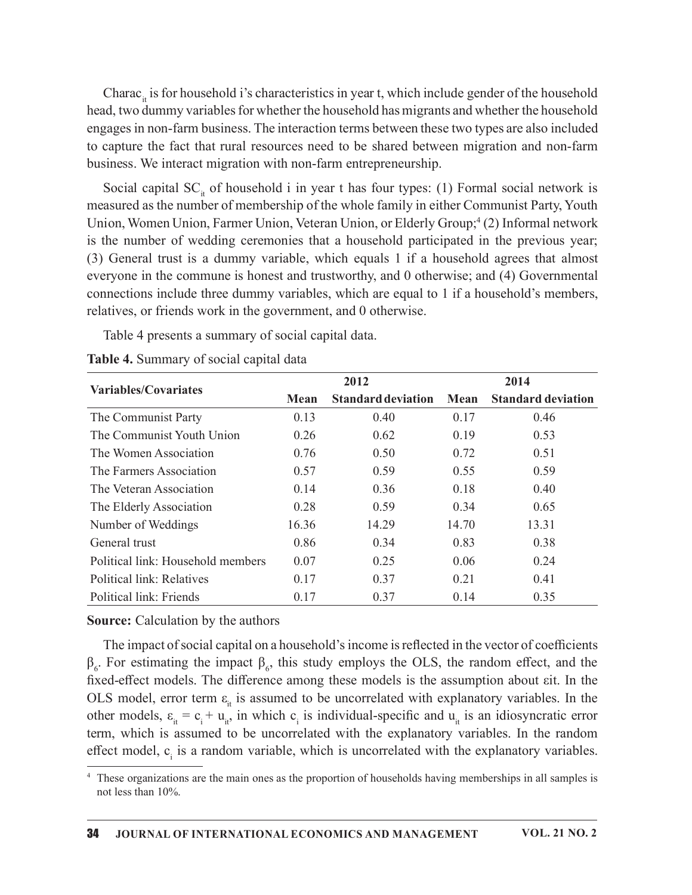Charac<sub>it</sub> is for household i's characteristics in year t, which include gender of the household head, two dummy variables for whether the household has migrants and whether the household engages in non-farm business. The interaction terms between these two types are also included to capture the fact that rural resources need to be shared between migration and non-farm business. We interact migration with non-farm entrepreneurship.

Social capital  $SC_i$  of household i in year t has four types: (1) Formal social network is measured as the number of membership of the whole family in either Communist Party, Youth Union, Women Union, Farmer Union, Veteran Union, or Elderly Group;<sup>4</sup> (2) Informal network is the number of wedding ceremonies that a household participated in the previous year; (3) General trust is a dummy variable, which equals 1 if a household agrees that almost everyone in the commune is honest and trustworthy, and 0 otherwise; and (4) Governmental connections include three dummy variables, which are equal to 1 if a household's members, relatives, or friends work in the government, and 0 otherwise. ead, two dummy variables for whether the household has migrants and whether the household<br>o capture the fact that rural resources are in terestrear these two types are also included<br>o capture the fact that rural resources teraction terms between these two types are also included<br>
ces need to be shared between migration and non-farm<br>
non-farm entrepreneurship.<br>
i in year t has four types: (1) Formal social network is<br>
hip of the whole famil o capture the fact that rural resources need to be shared between migration and non-farm<br>
soisiness. We interact migration with non-farm entrepreneurship.<br>
Social captual SC<sub>o</sub> of housebold i in year thas four types: (1) F

| business. We interact migration with non-farm entrepreneurship.                                                                                                                                                                                                                                                                                                                                                                                                                                                                                                                                                                                                                                                                                             |       |                           |       |                           |
|-------------------------------------------------------------------------------------------------------------------------------------------------------------------------------------------------------------------------------------------------------------------------------------------------------------------------------------------------------------------------------------------------------------------------------------------------------------------------------------------------------------------------------------------------------------------------------------------------------------------------------------------------------------------------------------------------------------------------------------------------------------|-------|---------------------------|-------|---------------------------|
| Social capital SC <sub>it</sub> of household i in year t has four types: (1) Formal social network is<br>measured as the number of membership of the whole family in either Communist Party, Youth<br>Union, Women Union, Farmer Union, Veteran Union, or Elderly Group; <sup>4</sup> (2) Informal network<br>is the number of wedding ceremonies that a household participated in the previous year;<br>(3) General trust is a dummy variable, which equals 1 if a household agrees that almost<br>everyone in the commune is honest and trustworthy, and 0 otherwise; and (4) Governmental<br>connections include three dummy variables, which are equal to 1 if a household's members,<br>relatives, or friends work in the government, and 0 otherwise. |       |                           |       |                           |
| Table 4 presents a summary of social capital data.                                                                                                                                                                                                                                                                                                                                                                                                                                                                                                                                                                                                                                                                                                          |       |                           |       |                           |
| Table 4. Summary of social capital data                                                                                                                                                                                                                                                                                                                                                                                                                                                                                                                                                                                                                                                                                                                     |       |                           |       |                           |
| Variables/Covariates                                                                                                                                                                                                                                                                                                                                                                                                                                                                                                                                                                                                                                                                                                                                        |       | 2012                      |       | 2014                      |
|                                                                                                                                                                                                                                                                                                                                                                                                                                                                                                                                                                                                                                                                                                                                                             | Mean  | <b>Standard deviation</b> | Mean  | <b>Standard deviation</b> |
| The Communist Party                                                                                                                                                                                                                                                                                                                                                                                                                                                                                                                                                                                                                                                                                                                                         | 0.13  | 0.40                      | 0.17  | 0.46                      |
| The Communist Youth Union                                                                                                                                                                                                                                                                                                                                                                                                                                                                                                                                                                                                                                                                                                                                   | 0.26  | 0.62                      | 0.19  | 0.53                      |
| The Women Association                                                                                                                                                                                                                                                                                                                                                                                                                                                                                                                                                                                                                                                                                                                                       | 0.76  | 0.50                      | 0.72  | 0.51                      |
| The Farmers Association                                                                                                                                                                                                                                                                                                                                                                                                                                                                                                                                                                                                                                                                                                                                     | 0.57  | 0.59                      | 0.55  | 0.59                      |
| The Veteran Association                                                                                                                                                                                                                                                                                                                                                                                                                                                                                                                                                                                                                                                                                                                                     | 0.14  | 0.36                      | 0.18  | 0.40                      |
| The Elderly Association                                                                                                                                                                                                                                                                                                                                                                                                                                                                                                                                                                                                                                                                                                                                     | 0.28  | 0.59                      | 0.34  | 0.65                      |
| Number of Weddings                                                                                                                                                                                                                                                                                                                                                                                                                                                                                                                                                                                                                                                                                                                                          | 16.36 | 14.29                     | 14.70 | 13.31                     |
| General trust                                                                                                                                                                                                                                                                                                                                                                                                                                                                                                                                                                                                                                                                                                                                               | 0.86  | 0.34                      | 0.83  | 0.38                      |
| Political link: Household members                                                                                                                                                                                                                                                                                                                                                                                                                                                                                                                                                                                                                                                                                                                           | 0.07  | 0.25                      | 0.06  | 0.24                      |
| Political link: Relatives                                                                                                                                                                                                                                                                                                                                                                                                                                                                                                                                                                                                                                                                                                                                   | 0.17  | 0.37                      | 0.21  | 0.41                      |
| Political link: Friends                                                                                                                                                                                                                                                                                                                                                                                                                                                                                                                                                                                                                                                                                                                                     | 0.17  | 0.37                      | 0.14  | 0.35                      |
| <b>Source:</b> Calculation by the authors<br>The impact of social capital on a household's income is reflected in the vector of coefficients                                                                                                                                                                                                                                                                                                                                                                                                                                                                                                                                                                                                                |       |                           |       |                           |
| $\beta_{6}$ . For estimating the impact $\beta_{6}$ , this study employs the OLS, the random effect, and the<br>fixed-effect models. The difference among these models is the assumption about eit. In the                                                                                                                                                                                                                                                                                                                                                                                                                                                                                                                                                  |       |                           |       |                           |

The impact of social capital on a household's income is reflected in the vector of coefficients  $β<sub>6</sub>$ . For estimating the impact  $β<sub>6</sub>$ , this study employs the OLS, the random effect, and the fixed-effect models. The difference among these models is the assumption about εit. In the OLS model, error term  $\epsilon_{it}$  is assumed to be uncorrelated with explanatory variables. In the other models,  $\varepsilon_{it} = c_i + u_{it}$ , in which  $c_i$  is individual-specific and  $u_{it}$  is an idiosyncratic error term, which is assumed to be uncorrelated with the explanatory variables. In the random effect model, c<sub>i</sub> is a random variable, which is uncorrelated with the explanatory variables.

<sup>4</sup> These organizations are the main ones as the proportion of households having memberships in all samples is not less than 10%.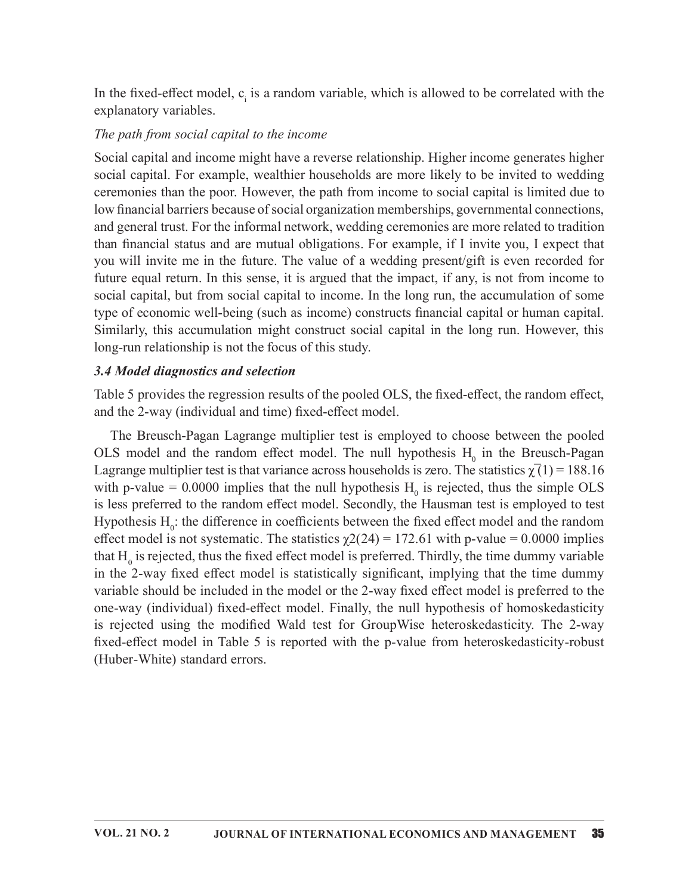In the fixed-effect model,  $c<sub>i</sub>$  is a random variable, which is allowed to be correlated with the explanatory variables.

### The path from social capital to the income

Social capital and income might have a reverse relationship. Higher income generates higher social capital. For example, wealthier households are more likely to be invited to wedding ceremonies than the poor. However, the path from income to social capital is limited due to low financial barriers because of social organization memberships, governmental connections, and general trust. For the informal network, wedding ceremonies are more related to tradition than financial status and are mutual obligations. For example, if I invite you, I expect that you will invite me in the future. The value of a wedding present/gift is even recorded for future equal return. In this sense, it is argued that the impact, if any, is not from income to social capital, but from social capital to income. In the long run, the accumulation of some type of economic well-being (such as income) constructs financial capital or human capital. Similarly, this accumulation might construct social capital in the long run. However, this long-run relationship is not the focus of this study.

### 3.4 Model diagnostics and selection

Table 5 provides the regression results of the pooled OLS, the fixed-effect, the random effect, and the 2-way (individual and time) fixed-effect model.

The Breusch-Pagan Lagrange multiplier test is employed to choose between the pooled OLS model and the random effect model. The null hypothesis  $H_0$  in the Breusch-Pagan Lagrange multiplier test is that variance across households is zero. The statistics  $\chi(1) = 188.16$ with p-value  $= 0.0000$  implies that the null hypothesis  $H_0$  is rejected, thus the simple OLS is less preferred to the random effect model. Secondly, the Hausman test is employed to test Hypothesis  $H_0$ : the difference in coefficients between the fixed effect model and the random effect model is not systematic. The statistics  $\chi$ 2(24) = 172.61 with p-value = 0.0000 implies that  $\text{H}_0$  is rejected, thus the fixed effect model is preferred. Thirdly, the time dummy variable in the 2-way fixed effect model is statistically significant, implying that the time dummy variable should be included in the model or the 2-way fixed effect model is preferred to the one-way (individual) fixed-effect model. Finally, the null hypothesis of homoskedasticity is rejected using the modified Wald test for GroupWise heteroskedasticity. The 2-way fixed-effect model in Table 5 is reported with the p-value from heteroskedasticity-robust (Huber-White) standard errors.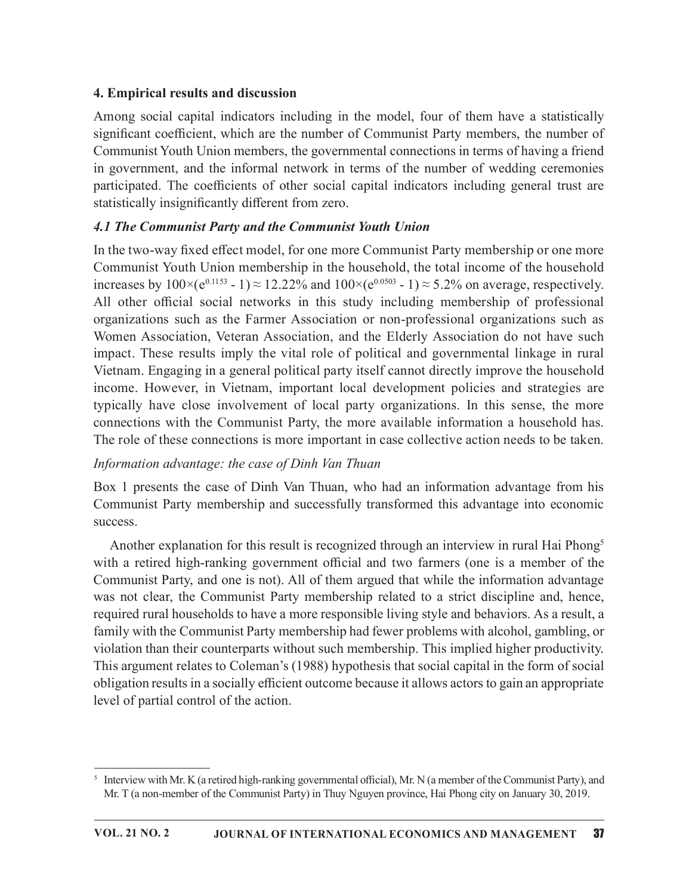# 4. Empirical results and discussion

Among social capital indicators including in the model, four of them have a statistically significant coefficient, which are the number of Communist Party members, the number of Communist Youth Union members, the governmental connections in terms of having a friend in government, and the informal network in terms of the number of wedding ceremonies participated. The coefficients of other social capital indicators including general trust are statistically insignificantly different from zero.

# 4.1 The Communist Party and the Communist Youth Union

In the two-way fixed effect model, for one more Communist Party membership or one more Communist Youth Union membership in the household, the total income of the household increases by  $100 \times (e^{0.1153} - 1) \approx 12.22\%$  and  $100 \times (e^{0.0503} - 1) \approx 5.2\%$  on average, respectively. All other official social networks in this study including membership of professional organizations such as the Farmer Association or non-professional organizations such as Women Association, Veteran Association, and the Elderly Association do not have such impact. These results imply the vital role of political and governmental linkage in rural Vietnam. Engaging in a general political party itself cannot directly improve the household income. However, in Vietnam, important local development policies and strategies are typically have close involvement of local party organizations. In this sense, the more connections with the Communist Party, the more available information a household has. The role of these connections is more important in case collective action needs to be taken.

# Information advantage: the case of Dinh Van Thuan

Box 1 presents the case of Dinh Van Thuan, who had an information advantage from his Communist Party membership and successfully transformed this advantage into economic success.

Another explanation for this result is recognized through an interview in rural Hai Phong<sup>5</sup> with a retired high-ranking government official and two farmers (one is a member of the Communist Party, and one is not). All of them argued that while the information advantage was not clear, the Communist Party membership related to a strict discipline and, hence, required rural households to have a more responsible living style and behaviors. As a result, a family with the Communist Party membership had fewer problems with alcohol, gambling, or violation than their counterparts without such membership. This implied higher productivity. This argument relates to Coleman's (1988) hypothesis that social capital in the form of social obligation results in a socially efficient outcome because it allows actors to gain an appropriate level of partial control of the action.

 $^5$  Interview with Mr. K (a retired high-ranking governmental official), Mr. N (a member of the Communist Party), and Mr. T (a non-member of the Communist Party) in Thuy Nguyen province, Hai Phong city on January 30, 2019.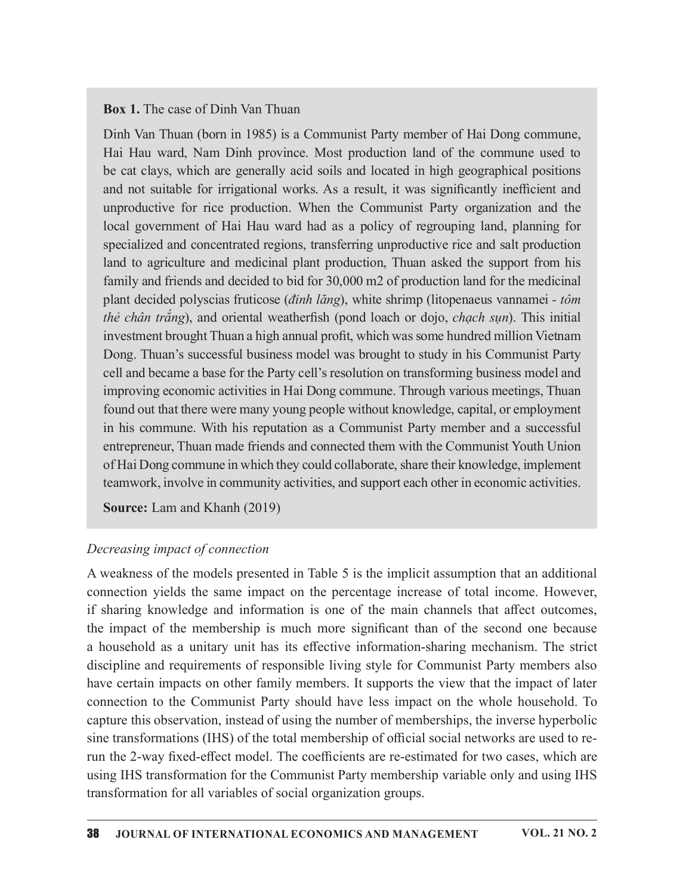### Box 1. The case of Dinh Van Thuan

Dinh Van Thuan (born in 1985) is a Communist Party member of Hai Dong commune, Hai Hau ward, Nam Dinh province. Most production land of the commune used to be cat clays, which are generally acid soils and located in high geographical positions and not suitable for irrigational works. As a result, it was significantly inefficient and unproductive for rice production. When the Communist Party organization and the local government of Hai Hau ward had as a policy of regrouping land, planning for specialized and concentrated regions, transferring unproductive rice and salt production land to agriculture and medicinal plant production, Thuan asked the support from his family and friends and decided to bid for 30,000 m2 of production land for the medicinal plant decided polyscias fruticose (*dinh lǎng*), white shrimp (litopenaeus vannamei -  $t\hat{o}m$ thẻ chân trắng), and oriental weatherfish (pond loach or dojo, chạch sụn). This initial investment brought Thuan a high annual profit, which was some hundred million Vietnam Dong. Thuan's successful business model was brought to study in his Communist Party cell and became a base for the Party cell's resolution on transforming business model and improving economic activities in Hai Dong commune. Through various meetings, Thuan found out that there were many young people without knowledge, capital, or employment in his commune. With his reputation as a Communist Party member and a successful entrepreneur, Thuan made friends and connected them with the Communist Youth Union of Hai Dong commune in which they could collaborate, share their knowledge, implement teamwork, involve in community activities, and support each other in economic activities.

Source: Lam and Khanh (2019)

### Decreasing impact of connection

A weakness of the models presented in Table 5 is the implicit assumption that an additional connection yields the same impact on the percentage increase of total income. However, if sharing knowledge and information is one of the main channels that affect outcomes, the impact of the membership is much more significant than of the second one because a household as a unitary unit has its effective information-sharing mechanism. The strict discipline and requirements of responsible living style for Communist Party members also have certain impacts on other family members. It supports the view that the impact of later connection to the Communist Party should have less impact on the whole household. To capture this observation, instead of using the number of memberships, the inverse hyperbolic sine transformations (IHS) of the total membership of official social networks are used to rerun the 2-way fixed-effect model. The coefficients are re-estimated for two cases, which are using IHS transformation for the Communist Party membership variable only and using IHS transformation for all variables of social organization groups.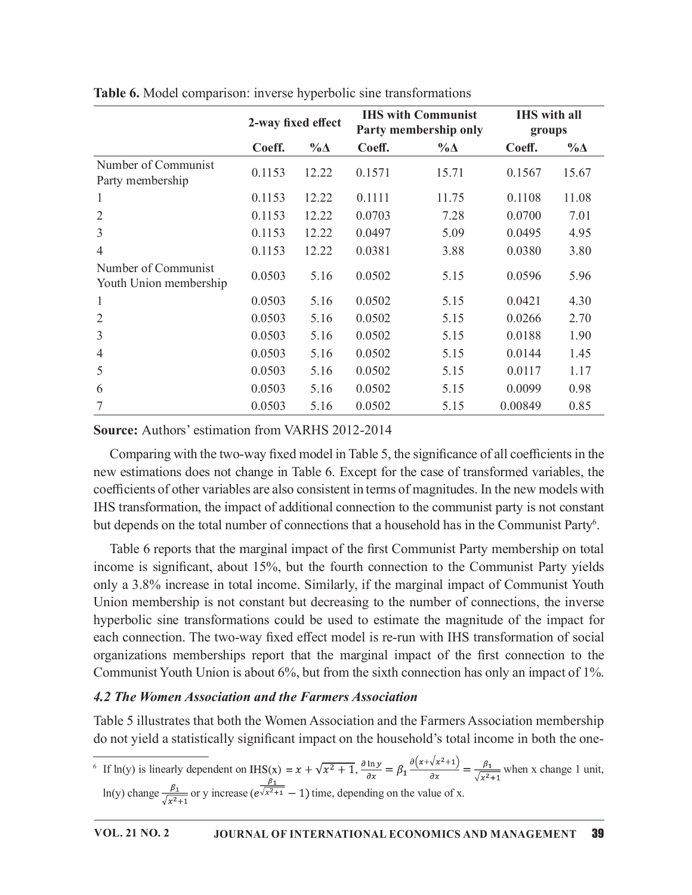|                                               |        | 2-way fixed effect |        | Table 6. Model comparison: inverse hyperbolic sine transformations<br><b>IHS with Communist</b><br>Party membership only | <b>IHS</b> with all<br>groups |             |
|-----------------------------------------------|--------|--------------------|--------|--------------------------------------------------------------------------------------------------------------------------|-------------------------------|-------------|
|                                               | Coeff. | $\% \Delta$        | Coeff. | $\% \Delta$                                                                                                              | Coeff.                        | $\% \Delta$ |
| Number of Communist<br>Party membership       | 0.1153 | 12.22              | 0.1571 | 15.71                                                                                                                    | 0.1567                        | 15.67       |
| $\mathbf{I}$                                  | 0.1153 | 12.22              | 0.1111 | 11.75                                                                                                                    | 0.1108                        | 11.08       |
| $\overline{2}$                                | 0.1153 | 12.22              | 0.0703 | 7.28                                                                                                                     | 0.0700                        | 7.01        |
| 3                                             | 0.1153 | 12.22              | 0.0497 | 5.09                                                                                                                     | 0.0495                        | 4.95        |
| $\overline{4}$                                | 0.1153 | 12.22              | 0.0381 | 3.88                                                                                                                     | 0.0380                        | 3.80        |
| Number of Communist<br>Youth Union membership | 0.0503 | 5.16               | 0.0502 | 5.15                                                                                                                     | 0.0596                        | 5.96        |
| $\mathbf{I}$                                  | 0.0503 | 5.16               | 0.0502 | 5.15                                                                                                                     | 0.0421                        | 4.30        |
| $\sqrt{2}$                                    | 0.0503 | 5.16               | 0.0502 | 5.15                                                                                                                     | 0.0266                        | 2.70        |
| $\mathfrak{Z}$                                | 0.0503 | 5.16               | 0.0502 | 5.15                                                                                                                     | 0.0188                        | 1.90        |
| $\overline{4}$                                | 0.0503 | 5.16               | 0.0502 | 5.15                                                                                                                     | 0.0144                        | 1.45        |
| 5                                             | 0.0503 | 5.16               | 0.0502 | 5.15                                                                                                                     | 0.0117                        | 1.17        |
| 6                                             | 0.0503 | 5.16               | 0.0502 | 5.15                                                                                                                     | 0.0099                        | 0.98        |
| $\boldsymbol{7}$                              | 0.0503 | 5.16               | 0.0502 | 5.15                                                                                                                     | 0.00849                       | 0.85        |

Table 6. Model comparison: inverse hyperbolic sine transformations

Comparing with the two-way fixed model in Table 5, the significance of all coefficients in the new estimations does not change in Table 6. Except for the case of transformed variables, the coefficients of other variables are also consistent in terms of magnitudes. In the new models with IHS transformation, the impact of additional connection to the communist party is not constant but depends on the total number of connections that a household has in the Communist Party<sup>6</sup>. .

Table 6 reports that the marginal impact of the first Communist Party membership on total income is significant, about 15%, but the fourth connection to the Communist Party yields only a 3.8% increase in total income. Similarly, if the marginal impact of Communist Youth Union membership is not constant but decreasing to the number of connections, the inverse hyperbolic sine transformations could be used to estimate the magnitude of the impact for each connection. The two-way fixed effect model is re-run with IHS transformation of social **6** 0.6503 5.16 0.0502 5.15 0.0099 0.98<br>
7 0.0503 5.16 0.0502 5.15 0.0099 0.98<br>
7 0.0503 5.16 0.0502 5.15 0.0099 0.98<br> **Source:** Authors' estimation from VARHS 2012-2014<br>
Comparing with the two-way fixed model in Table 5, Communist Youth Union is about 6%, but from the sixth connection has only an impact of 1%.

## 4.2 The Women Association and the Farmers Association

Table 5 illustrates that both the Women Association and the Farmers Association membership do not yield a statistically significant impact on the household's total income in both the one-

<sup>6</sup> If ln(y) is linearly dependent on IHS(x) =  $x + \sqrt{x^2 + 1}$ ,  $\frac{\partial \ln y}{\partial x} = \beta_1 \frac{\partial (x + \sqrt{x^2 + 1})}{\partial x} = \frac{\beta_1}{\sqrt{x^2 + 1}}$  when x change 1 unit, ln(y) change  $\frac{\mu_1}{\sqrt{2}}$  or y increase  $(e^{\sqrt{x^2+1}}-1)$  time, depending on the value of x.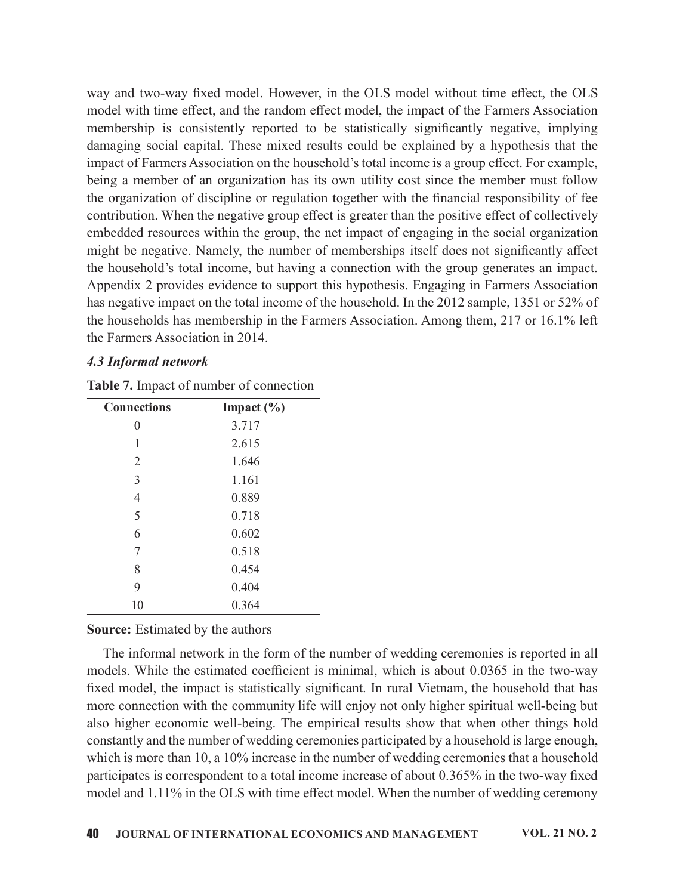way and two-way fixed model. However, in the OLS model without time effect, the OLS model with time effect, and the random effect model, the impact of the Farmers Association membership is consistently reported to be statistically significantly negative, implying damaging social capital. These mixed results could be explained by a hypothesis that the impact of Farmers Association on the household's total income is a group effect. For example, being a member of an organization has its own utility cost since the member must follow the organization of discipline or regulation together with the financial responsibility of fee contribution. When the negative group effect is greater than the positive effect of collectively embedded resources within the group, the net impact of engaging in the social organization might be negative. Namely, the number of memberships itself does not significantly affect the household's total income, but having a connection with the group generates an impact. Appendix 2 provides evidence to support this hypothesis. Engaging in Farmers Association has negative impact on the total income of the household. In the 2012 sample, 1351 or 52% of the households has membership in the Farmers Association. Among them, 217 or 16.1% left the Farmers Association in 2014. modes and the boundary is consistent of the saturation is equived to the saturation in an impact of Farmers Association on the household's total income is a group effect. For example g a member of an organization has its g social capital. Inese mixed results could be explained by a hypothesis that the<br>f Farmers Association on the household's total income is a group effect. For example,<br>member of an organization has its own utility cost si Farmers Association on the nousenous solar incomer is a group energy energy results<br>
respects the member of an organization has its own utility cost since the member must follow<br>
mization of discipline or regulation toget member of an organization has is own uniny cost since the member matricularization of discipline or regulation together with the financial responsibility of fection. When the negative group effect is greater than the posi maturo of uscupine or regulator to guidarity with the infinite area in esponsion of the matrix and the matrix and the mostly dress within the group effect is greater than the positive effect of collectively descources wit non: wien the riegarive group enert is greater tant the positive enert of chectively<br>descriptions. We have the speaker of the speaker of the speaker of the speaker of the speaker of the speaker of the speaker of membership The summary group, the trimpet of memberships itself does not significantly affect<br>
at expective. Namely, the number of memberships itself does not significantly affect<br>
chold's total income, but having a connection with megawer. Function, the name of memorialism such as not signing that<br>  $x \geq$  provides civilar connection with the group generates an impact.<br>  $x \geq$  provides civilence to support this hypothesis. Engaging in Farmers Associa

### 4.3 Informal network

| 4.3 Informal network                    |                                                |                                                                                                                                                                                                                                                                                       |
|-----------------------------------------|------------------------------------------------|---------------------------------------------------------------------------------------------------------------------------------------------------------------------------------------------------------------------------------------------------------------------------------------|
|                                         | <b>Table 7.</b> Impact of number of connection |                                                                                                                                                                                                                                                                                       |
| <b>Connections</b>                      | Impact $(\% )$                                 |                                                                                                                                                                                                                                                                                       |
| $\overline{0}$                          | 3.717                                          |                                                                                                                                                                                                                                                                                       |
| 1                                       | 2.615                                          |                                                                                                                                                                                                                                                                                       |
| $\overline{2}$                          | 1.646                                          |                                                                                                                                                                                                                                                                                       |
| 3                                       | 1.161                                          |                                                                                                                                                                                                                                                                                       |
| 4                                       | 0.889                                          |                                                                                                                                                                                                                                                                                       |
| 5                                       | 0.718                                          |                                                                                                                                                                                                                                                                                       |
| 6                                       | 0.602                                          |                                                                                                                                                                                                                                                                                       |
| 7                                       | 0.518                                          |                                                                                                                                                                                                                                                                                       |
| 8                                       | 0.454                                          |                                                                                                                                                                                                                                                                                       |
| 9                                       | 0.404                                          |                                                                                                                                                                                                                                                                                       |
| 10                                      | 0.364                                          |                                                                                                                                                                                                                                                                                       |
| <b>Source:</b> Estimated by the authors |                                                |                                                                                                                                                                                                                                                                                       |
|                                         |                                                | The informal network in the form of the number of wedding ceremonies is reported in all<br>models. While the estimated coefficient is minimal, which is about 0.0365 in the two-way<br>fixed model, the impact is statistically significant. In rural Vietnam, the household that has |

Table 7. Impact of number of connection

### Source: Estimated by the authors

The informal network in the form of the number of wedding ceremonies is reported in all models. While the estimated coefficient is minimal, which is about 0.0365 in the two-way fixed model, the impact is statistically significant. In rural Vietnam, the household that has more connection with the community life will enjoy not only higher spiritual well-being but also higher economic well-being. The empirical results show that when other things hold constantly and the number of wedding ceremonies participated by a household is large enough, which is more than 10, a 10% increase in the number of wedding ceremonies that a household participates is correspondent to a total income increase of about  $0.365\%$  in the two-way fixed model and 1.11% in the OLS with time effect model. When the number of wedding ceremony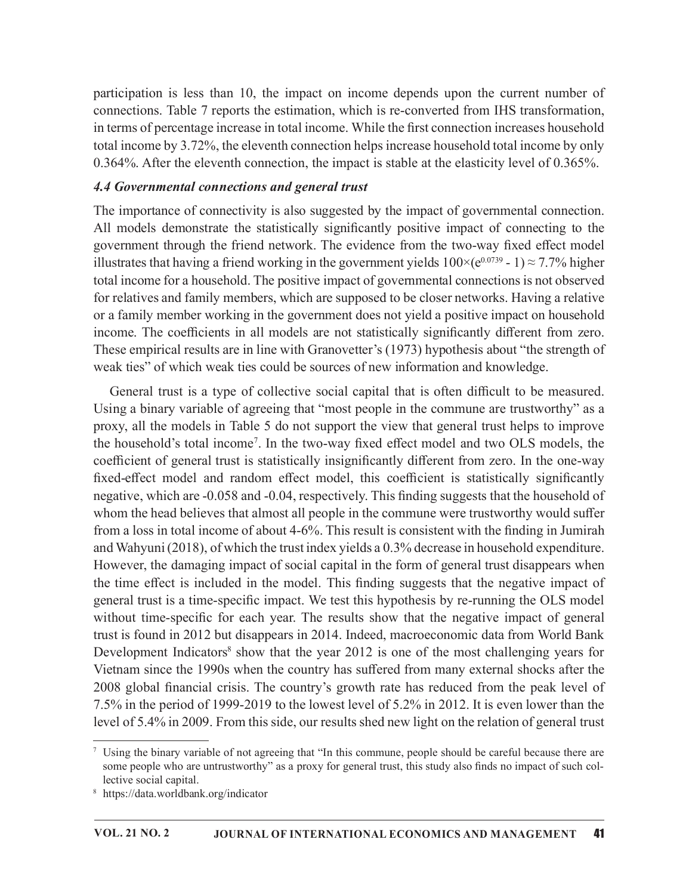participation is less than 10, the impact on income depends upon the current number of connections. Table 7 reports the estimation, which is re-converted from IHS transformation, in terms of percentage increase in total income. While the first connection increases household total income by 3.72%, the eleventh connection helps increase household total income by only 0.364%. After the eleventh connection, the impact is stable at the elasticity level of 0.365%.

### 4.4 Governmental connections and general trust

The importance of connectivity is also suggested by the impact of governmental connection. All models demonstrate the statistically significantly positive impact of connecting to the government through the friend network. The evidence from the two-way fixed effect model illustrates that having a friend working in the government yields  $100\times(e^{0.0739}$  - 1)  $\approx$  7.7% higher total income for a household. The positive impact of governmental connections is not observed for relatives and family members, which are supposed to be closer networks. Having a relative or a family member working in the government does not yield a positive impact on household income. The coefficients in all models are not statistically significantly different from zero. These empirical results are in line with Granovetter's (1973) hypothesis about "the strength of weak ties" of which weak ties could be sources of new information and knowledge.

General trust is a type of collective social capital that is often difficult to be measured. Using a binary variable of agreeing that "most people in the commune are trustworthy" as a proxy, all the models in Table 5 do not support the view that general trust helps to improve the household's total income<sup>7</sup>. In the two-way fixed effect model and two OLS models, the coefficient of general trust is statistically insignificantly different from zero. In the one-way fixed-effect model and random effect model, this coefficient is statistically significantly negative, which are -0.058 and -0.04, respectively. This finding suggests that the household of whom the head believes that almost all people in the commune were trustworthy would suffer from a loss in total income of about 4-6%. This result is consistent with the finding in Jumirah and Wahyuni(2018), of which the trust index yields a 0.3% decrease in household expenditure. However, the damaging impact of social capital in the form of general trust disappears when the time effect is included in the model. This finding suggests that the negative impact of general trust is a time-specific impact. We test this hypothesis by re-running the OLS model without time-specific for each year. The results show that the negative impact of general trust is found in 2012 but disappears in 2014. Indeed, macroeconomic data from World Bank Development Indicators<sup>8</sup> show that the year 2012 is one of the most challenging years for Vietnam since the 1990s when the country has suffered from many external shocks after the 2008 global financial crisis. The country's growth rate has reduced from the peak level of 7.5% in the period of 1999-2019 to the lowest level of 5.2% in 2012. It is even lower than the level of 5.4% in 2009. From this side, our results shed new light on the relation of general trust 7

Using the binary variable of not agreeing that "In this commune, people should be careful because there are some people who are untrustworthy" as a proxy for general trust, this study also finds no impact of such collective social capital.

<sup>8</sup> https://data.worldbank.org/indicator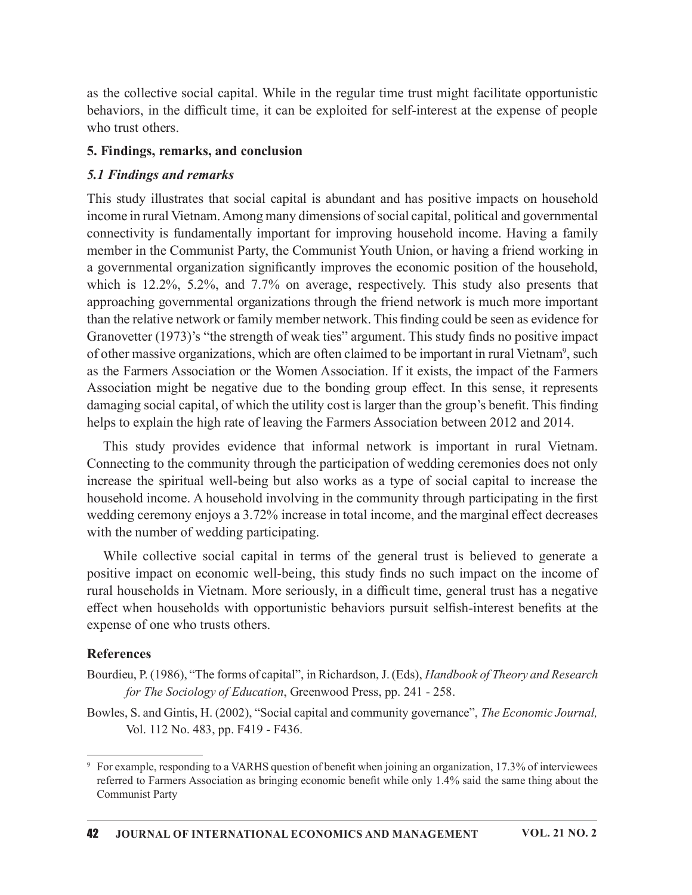as the collective social capital. While in the regular time trust might facilitate opportunistic behaviors, in the difficult time, it can be exploited for self-interest at the expense of people who trust others.

#### 5. Findings, remarks, and conclusion

#### 5.1 Findings and remarks

This study illustrates that social capital is abundant and has positive impacts on household income in rural Vietnam. Among many dimensions of social capital, political and governmental connectivity is fundamentally important for improving household income. Having a family member in the Communist Party, the Communist Youth Union, or having a friend working in a governmental organization significantly improves the economic position of the household, which is 12.2%, 5.2%, and 7.7% on average, respectively. This study also presents that approaching governmental organizations through the friend network is much more important than the relative network or family member network. This finding could be seen as evidence for Granovetter (1973)'s "the strength of weak ties" argument. This study finds no positive impact of other massive organizations, which are often claimed to be important in rural Vietnam<sup>9</sup>, such as the Farmers Association or the Women Association. If it exists, the impact of the Farmers Association might be negative due to the bonding group effect. In this sense, it represents damaging social capital, of which the utility cost is larger than the group's benefit. This finding helps to explain the high rate of leaving the Farmers Association between 2012 and 2014.

This study provides evidence that informal network is important in rural Vietnam. Connecting to the community through the participation of wedding ceremonies does not only increase the spiritual well-being but also works as a type of social capital to increase the household income. A household involving in the community through participating in the first wedding ceremony enjoys a 3.72% increase in total income, and the marginal effect decreases with the number of wedding participating.

While collective social capital in terms of the general trust is believed to generate a positive impact on economic well-being, this study finds no such impact on the income of rural households in Vietnam. More seriously, in a difficult time, general trust has a negative effect when households with opportunistic behaviors pursuit selfish-interest benefits at the expense of one who trusts others.

### References

- Bourdieu, P. (1986), "The forms of capital", in Richardson, J. (Eds), Handbook of Theory and Research for The Sociology of Education, Greenwood Press, pp. 241 - 258.
- Bowles, S. and Gintis, H. (2002), "Social capital and community governance", The Economic Journal, Vol. 112 No. 483, pp. F419 - F436.

<sup>&</sup>lt;sup>9</sup> For example, responding to a VARHS question of benefit when joining an organization, 17.3% of interviewees referred to Farmers Association as bringing economic benefit while only 1.4% said the same thing about the Communist Party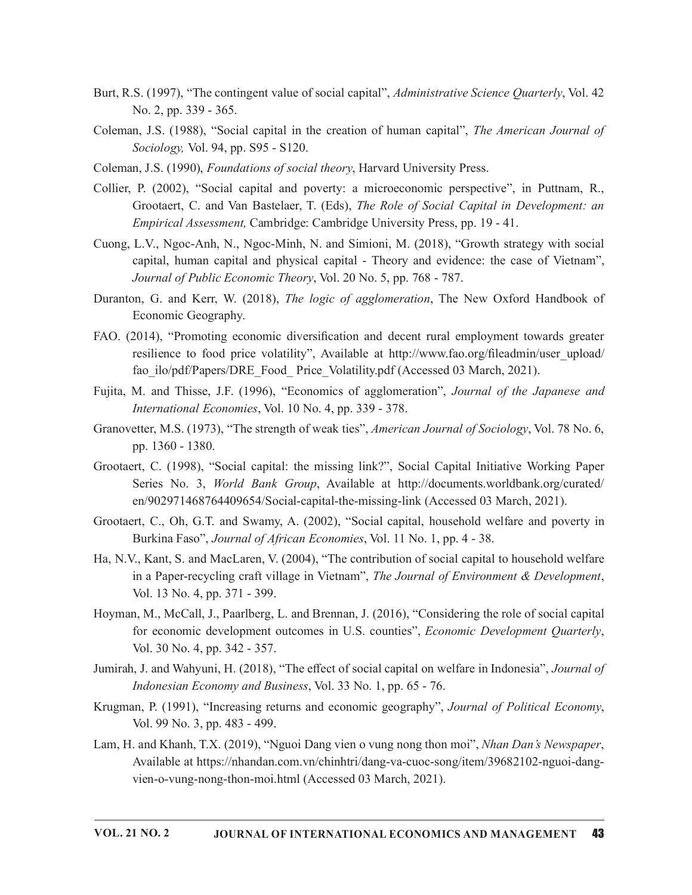- Burt, R.S. (1997), "The contingent value of social capital", Administrative Science Quarterly, Vol. 42 No. 2, pp. 339 - 365.
- Coleman, J.S. (1988), "Social capital in the creation of human capital", The American Journal of Sociology, Vol. 94, pp. S95 - S120.
- Coleman, J.S. (1990), Foundations of social theory, Harvard University Press.
- Collier, P. (2002), "Social capital and poverty: a microeconomic perspective", in Puttnam, R., Grootaert, C. and Van Bastelaer, T. (Eds), The Role of Social Capital in Development: an Empirical Assessment, Cambridge: Cambridge University Press, pp. 19 - 41.
- Cuong, L.V., Ngoc-Anh, N., Ngoc-Minh, N. and Simioni, M. (2018), "Growth strategy with social capital, human capital and physical capital - Theory and evidence: the case of Vietnam", Journal of Public Economic Theory, Vol. 20 No. 5, pp. 768 - 787.
- Duranton, G. and Kerr, W. (2018), The logic of agglomeration, The New Oxford Handbook of Economic Geography.
- FAO. (2014), "Promoting economic diversification and decent rural employment towards greater resilience to food price volatility", Available at http://www.fao.org/fileadmin/user\_upload/ fao ilo/pdf/Papers/DRE\_Food\_Price\_Volatility.pdf (Accessed 03 March, 2021).
- Fujita, M. and Thisse, J.F. (1996), "Economics of agglomeration", Journal of the Japanese and International Economies, Vol. 10 No. 4, pp. 339 - 378.
- Granovetter, M.S. (1973), "The strength of weak ties", American Journal of Sociology, Vol. 78 No. 6, pp. 1360 - 1380.
- Grootaert, C. (1998), "Social capital: the missing link?", Social Capital Initiative Working Paper Series No. 3, World Bank Group, Available at http://documents.worldbank.org/curated/ en/902971468764409654/Social-capital-the-missing-link (Accessed 03 March, 2021).
- Grootaert, C., Oh, G.T. and Swamy, A. (2002), "Social capital, household welfare and poverty in Burkina Faso", Journal of African Economies, Vol. 11 No. 1, pp. 4 - 38.
- Ha, N.V., Kant, S. and MacLaren, V. (2004), "The contribution of social capital to household welfare in a Paper-recycling craft village in Vietnam", *The Journal of Environment & Development*, Vol. 13 No. 4, pp. 371 - 399.
- Hoyman, M., McCall, J., Paarlberg, L. and Brennan, J. (2016), "Considering the role of social capital for economic development outcomes in U.S. counties", *Economic Development Quarterly*, Vol. 30 No. 4, pp. 342 - 357.
- Jumirah, J. and Wahyuni, H. (2018), "The effect of social capital on welfare in Indonesia", Journal of Indonesian Economy and Business, Vol. 33 No. 1, pp. 65 - 76.
- Krugman, P. (1991), "Increasing returns and economic geography", Journal of Political Economy, Vol. 99 No. 3, pp. 483 499.
- Lam, H. and Khanh, T.X. (2019), "Nguoi Dang vien o vung nong thon moi", Nhan Dan's Newspaper,<br>Available at https://nhandan.com.vn/chinhtri/dang-va-cuoc-song/item/39682102-nguoi-dangvien-o-vung-nong-thon-moi.html (Accessed 03 March, 2021).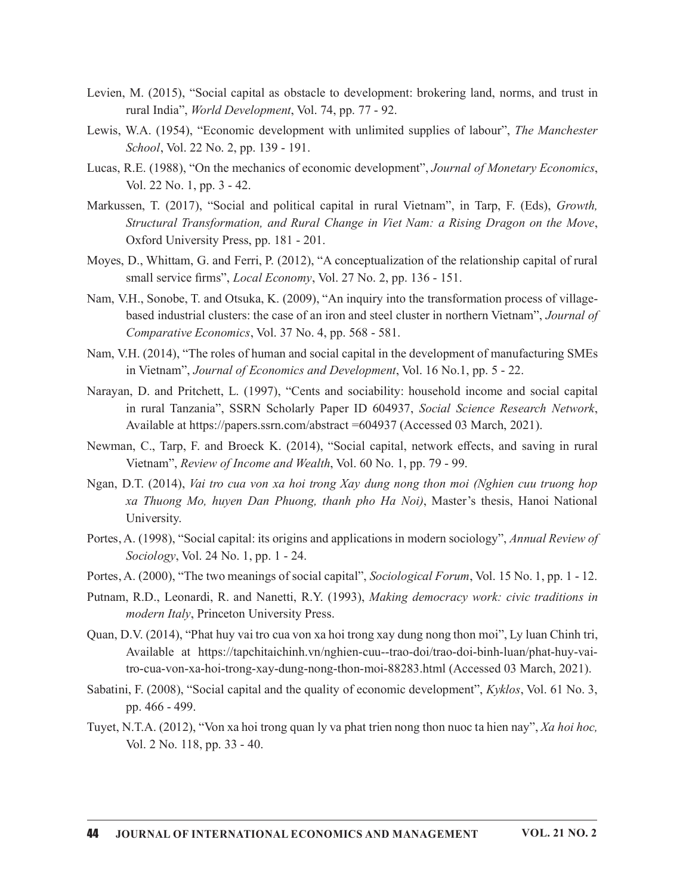- Levien, M. (2015), "Social capital as obstacle to development: brokering land, norms, and trust in rural India", World Development, Vol. 74, pp. 77 - 92.
- Lewis, W.A. (1954), "Economic development with unlimited supplies of labour", The Manchester School, Vol. 22 No. 2, pp. 139 - 191.
- Lucas, R.E. (1988), "On the mechanics of economic development", Journal of Monetary Economics, Vol. 22 No. 1, pp. 3 42.
- Markussen, T. (2017), "Social and political capital in rural Vietnam", in Tarp, F. (Eds), Growth, Structural Transformation, and Rural Change in Viet Nam: a Rising Dragon on the Move, Oxford University Press, pp. 181 - 201.
- Moyes, D., Whittam, G. and Ferri, P. (2012), "A conceptualization of the relationship capital of rural small service firms", *Local Economy*, Vol. 27 No. 2, pp. 136 - 151.
- Nam, V.H., Sonobe, T. and Otsuka, K. (2009), "An inquiry into the transformation process of villagebased industrial clusters: the case of an iron and steel cluster in northern Vietnam", Journal of Comparative Economics, Vol. 37 No. 4, pp. 568 - 581.
- Nam, V.H. (2014), "The roles of human and social capital in the development of manufacturing SMEs in Vietnam", Journal of Economics and Development, Vol. 16 No.1, pp. 5 - 22.
- Narayan, D. and Pritchett, L. (1997), "Cents and sociability: household income and social capital in rural Tanzania", SSRN Scholarly Paper ID 604937, Social Science Research Network, Available at https://papers.ssrn.com/abstract =604937 (Accessed 03 March, 2021).
- Newman, C., Tarp, F. and Broeck K. (2014), "Social capital, network effects, and saving in rural Vietnam", Review of Income and Wealth, Vol. 60 No. 1, pp. 79 - 99.
- Ngan, D.T. (2014), Vai tro cua von xa hoi trong Xay dung nong thon moi (Nghien cuu truong hop xa Thuong Mo, huyen Dan Phuong, thanh pho Ha Noi), Master's thesis, Hanoi National University.
- Portes, A. (1998), "Social capital: its origins and applications in modern sociology", Annual Review of Sociology, Vol. 24 No. 1, pp. 1 - 24.
- Portes, A. (2000), "The two meanings of social capital", Sociological Forum, Vol. 15 No. 1, pp. 1 12.
- Putnam, R.D., Leonardi, R. and Nanetti, R.Y. (1993), Making democracy work: civic traditions in modern Italy, Princeton University Press.
- Quan, D.V. (2014), "Phat huy vai tro cua von xa hoi trong xay dung nong thon moi", Ly luan Chinh tri, Available at https://tapchitaichinh.vn/nghien-cuu--trao-doi/trao-doi-binh-luan/phat-huy-vaitro-cua-von-xa-hoi-trong-xay-dung-nong-thon-moi-88283.html (Accessed 03 March, 2021).
- Sabatini, F. (2008), "Social capital and the quality of economic development", Kyklos, Vol. 61 No. 3, pp. 466 - 499.
- Tuyet, N.T.A. (2012), "Von xa hoi trong quan ly va phat trien nong thon nuoc ta hien nay", Xa hoi hoc, Vol. 2 No. 118, pp. 33 - 40.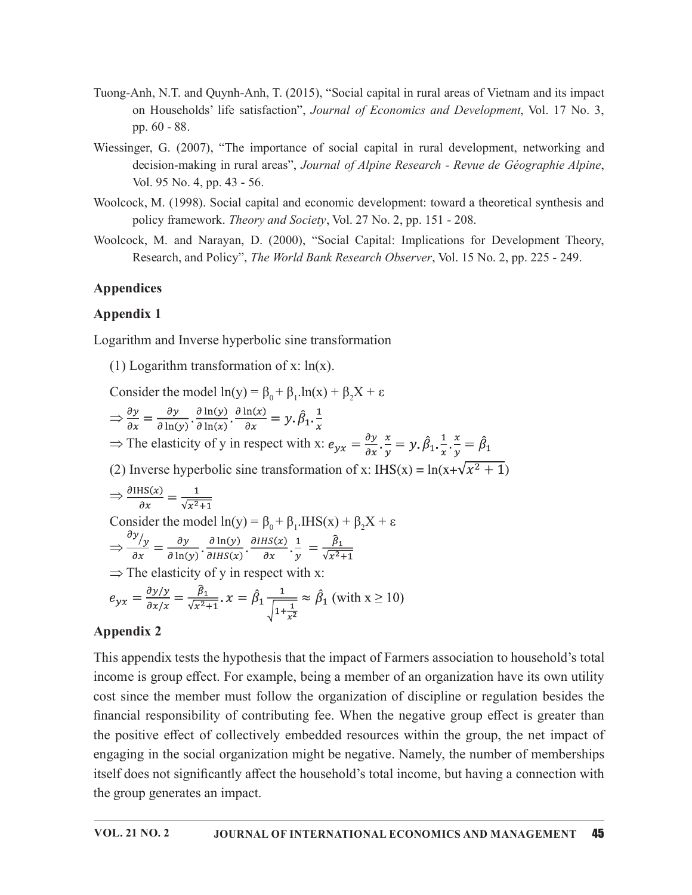- Tuong-Anh, N.T. and Quynh-Anh, T. (2015), "Social capital in rural areas of Vietnam and its impact on Households' life satisfaction", Journal of Economics and Development, Vol. 17 No. 3, pp. 60 - 88.
- Wiessinger, G. (2007), "The importance of social capital in rural development, networking and decision-making in rural areas", Journal of Alpine Research - Revue de Géographie Alpine, Vol. 95 No. 4, pp. 43 - 56.
- Woolcock, M. (1998). Social capital and economic development: toward a theoretical synthesis and policy framework. Theory and Society, Vol. 27 No. 2, pp. 151 - 208.
- Woolcock, M. and Narayan, D. (2000), "Social Capital: Implications for Development Theory, Research, and Policy", The World Bank Research Observer, Vol. 15 No. 2, pp. 225 - 249.

# Appendices

## Appendix 1

Logarithm and Inverse hyperbolic sine transformation

(1) Logarithm transformation of x:  $ln(x)$ .

Consider the model  $ln(y) = \beta_0 + \beta_1 ln(x) + \beta_2 X + \varepsilon$  $\Rightarrow \frac{\partial y}{\partial x} = \frac{\partial y}{\partial \ln(y)} \cdot \frac{\partial \ln(y)}{\partial \ln(x)} \cdot \frac{\partial \ln(x)}{\partial x} = y \cdot \hat{\beta}_1 \cdot \frac{1}{x}$ 

⇒ The elasticity of y in respect with x:  $e_{yx} = \frac{\partial y}{\partial x} \cdot \frac{x}{y} = y \cdot \hat{\beta}_1 \cdot \frac{1}{x} \cdot \frac{x}{y} = \hat{\beta}_1$ 

(2) Inverse hyperbolic sine transformation of x: IHS(x) =  $\ln(x+\sqrt{x^2+1})$ 

$$
\Rightarrow \frac{\partial \text{IHS}(x)}{\partial x} = \frac{1}{\sqrt{x^2 + 1}}
$$
  
Consider the model  $\ln(y) = \beta_0 + \beta_1$ . $\text{IHS}(x) + \beta_2 X + \varepsilon$   

$$
\Rightarrow \frac{\partial y}{\partial x} = \frac{\partial y}{\partial \ln(y)} \cdot \frac{\partial \ln(y)}{\partial \text{IHS}(x)} \cdot \frac{\partial \text{IHS}(x)}{\partial x} \cdot \frac{1}{y} = \frac{\hat{\beta}_1}{\sqrt{x^2 + 1}}
$$
  

$$
\Rightarrow \text{The elasticity of } y \text{ in respect with } x:
$$
  

$$
e_{yx} = \frac{\partial y/y}{\partial x/x} = \frac{\hat{\beta}_1}{\sqrt{x^2 + 1}} \cdot x = \hat{\beta}_1 \frac{1}{\sqrt{1 + \frac{1}{x^2}}} \approx \hat{\beta}_1 \text{ (with } x \ge 10\text{)}
$$

# Appendix 2

This appendix tests the hypothesis that the impact of Farmers association to household's total income is group effect. For example, being a member of an organization have its own utility cost since the member must follow the organization of discipline or regulation besides the financial responsibility of contributing fee. When the negative group effect is greater than the positive effect of collectively embedded resources within the group, the net impact of engaging in the social organization might be negative. Namely, the number of memberships itself does not significantly affect the household's total income, but having a connection with the group generates an impact.